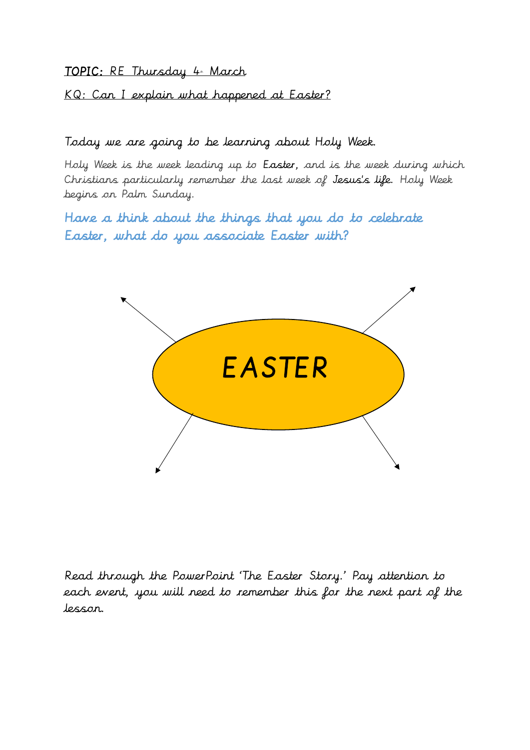KQ: Can I explain what happened at Easter?

### Today we are going to be learning about Holy Week.

Holy Week is the week leading up to [Easter,](https://www.bbc.co.uk/religion/religions/christianity/holydays/easter.shtml) and is the week during which Christians particularly remember the last week of Jesus['s life.](https://www.bbc.co.uk/religion/religions/christianity/history/jesus_1.shtml) Holy Week begins on Palm Sunday.

Have a think about the things that you do to celebrate Easter, what do you associate Easter with?



Read through the PowerPoint 'The Easter Story.' Pay attention to each event, you will need to remember this for the next part of the lesson.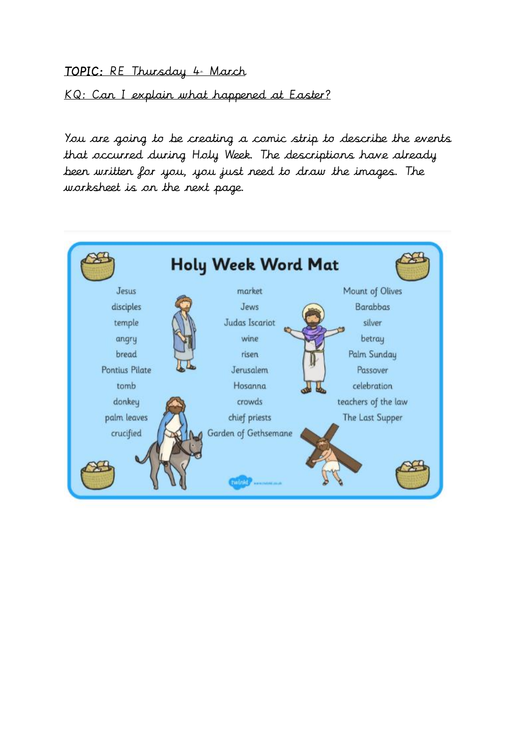KQ: Can I explain what happened at Easter?

You are going to be creating a comic strip to describe the events that occurred during Holy Week. The descriptions have already been written for you, you just need to draw the images. The worksheet is on the next page.

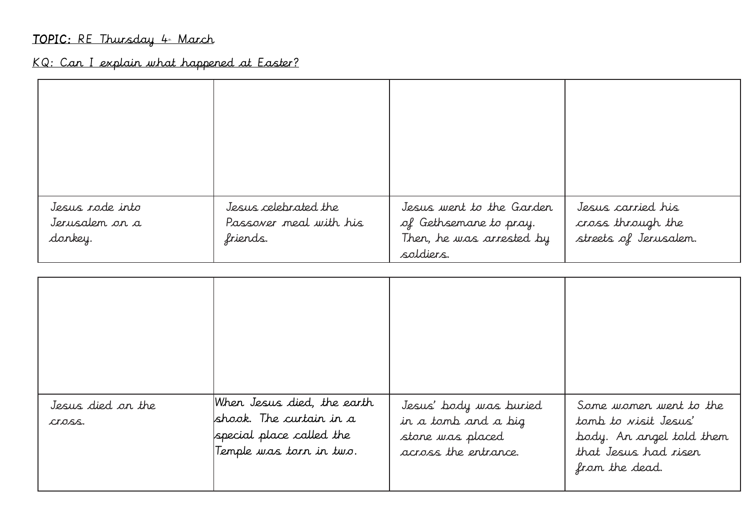# KQ: Can I explain what happened at Easter?

| Jesus rode into<br>Jerusalem on a<br>donkey. | Jesus celebrated the<br>Passover meal with his<br>friends. | Jesus went to the Garden<br>of Gethsemane to pray.<br>Then, he was arrested by<br>soldiers. | Jesus carried his<br>cross through the<br>streets of Jerusalem. |
|----------------------------------------------|------------------------------------------------------------|---------------------------------------------------------------------------------------------|-----------------------------------------------------------------|

| Jesus died on the<br>CLOSS. | When Jesus died, the earth<br>shook. The curtain in a<br>special place called the<br>Temple was torn in two. | Jesus' body was buried<br>in a tomb and a big<br>stone was placed<br>across the entrance. | Some women went to the<br>tomb to visit Jesus'<br>body. An angel told them<br>that Jesus had riser<br>from the dead. |
|-----------------------------|--------------------------------------------------------------------------------------------------------------|-------------------------------------------------------------------------------------------|----------------------------------------------------------------------------------------------------------------------|